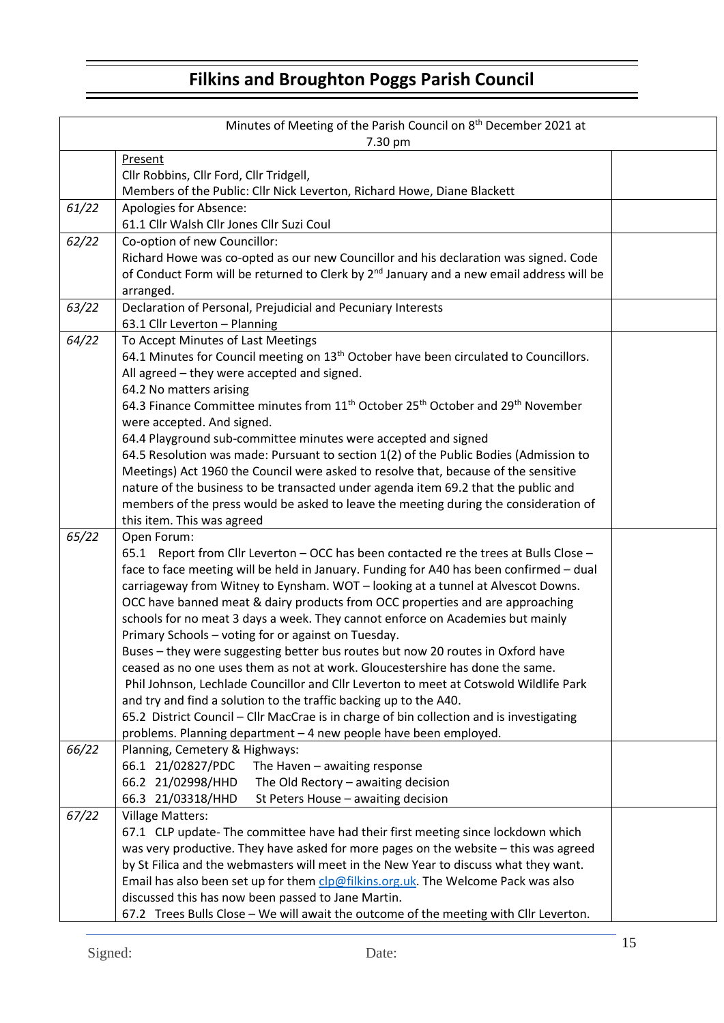## **Filkins and Broughton Poggs Parish Council**

| Minutes of Meeting of the Parish Council on 8 <sup>th</sup> December 2021 at<br>7.30 pm |                                                                                                                                                                                                                                                                                                                                                                                                                                                                                                                                                                                                                                                                                                                                                                                                                                                                                                                                                                                                                 |  |  |  |
|-----------------------------------------------------------------------------------------|-----------------------------------------------------------------------------------------------------------------------------------------------------------------------------------------------------------------------------------------------------------------------------------------------------------------------------------------------------------------------------------------------------------------------------------------------------------------------------------------------------------------------------------------------------------------------------------------------------------------------------------------------------------------------------------------------------------------------------------------------------------------------------------------------------------------------------------------------------------------------------------------------------------------------------------------------------------------------------------------------------------------|--|--|--|
|                                                                                         | Present<br>Cllr Robbins, Cllr Ford, Cllr Tridgell,<br>Members of the Public: Cllr Nick Leverton, Richard Howe, Diane Blackett                                                                                                                                                                                                                                                                                                                                                                                                                                                                                                                                                                                                                                                                                                                                                                                                                                                                                   |  |  |  |
| 61/22                                                                                   | Apologies for Absence:<br>61.1 Cllr Walsh Cllr Jones Cllr Suzi Coul                                                                                                                                                                                                                                                                                                                                                                                                                                                                                                                                                                                                                                                                                                                                                                                                                                                                                                                                             |  |  |  |
| 62/22                                                                                   | Co-option of new Councillor:<br>Richard Howe was co-opted as our new Councillor and his declaration was signed. Code<br>of Conduct Form will be returned to Clerk by 2 <sup>nd</sup> January and a new email address will be<br>arranged.                                                                                                                                                                                                                                                                                                                                                                                                                                                                                                                                                                                                                                                                                                                                                                       |  |  |  |
| 63/22                                                                                   | Declaration of Personal, Prejudicial and Pecuniary Interests<br>63.1 Cllr Leverton - Planning                                                                                                                                                                                                                                                                                                                                                                                                                                                                                                                                                                                                                                                                                                                                                                                                                                                                                                                   |  |  |  |
| 64/22                                                                                   | To Accept Minutes of Last Meetings<br>64.1 Minutes for Council meeting on 13 <sup>th</sup> October have been circulated to Councillors.<br>All agreed - they were accepted and signed.<br>64.2 No matters arising<br>64.3 Finance Committee minutes from 11 <sup>th</sup> October 25 <sup>th</sup> October and 29 <sup>th</sup> November<br>were accepted. And signed.<br>64.4 Playground sub-committee minutes were accepted and signed<br>64.5 Resolution was made: Pursuant to section 1(2) of the Public Bodies (Admission to<br>Meetings) Act 1960 the Council were asked to resolve that, because of the sensitive<br>nature of the business to be transacted under agenda item 69.2 that the public and<br>members of the press would be asked to leave the meeting during the consideration of<br>this item. This was agreed                                                                                                                                                                            |  |  |  |
| 65/22                                                                                   | Open Forum:<br>65.1 Report from Cllr Leverton - OCC has been contacted re the trees at Bulls Close -<br>face to face meeting will be held in January. Funding for A40 has been confirmed - dual<br>carriageway from Witney to Eynsham. WOT - looking at a tunnel at Alvescot Downs.<br>OCC have banned meat & dairy products from OCC properties and are approaching<br>schools for no meat 3 days a week. They cannot enforce on Academies but mainly<br>Primary Schools - voting for or against on Tuesday.<br>Buses - they were suggesting better bus routes but now 20 routes in Oxford have<br>ceased as no one uses them as not at work. Gloucestershire has done the same.<br>Phil Johnson, Lechlade Councillor and Cllr Leverton to meet at Cotswold Wildlife Park<br>and try and find a solution to the traffic backing up to the A40.<br>65.2 District Council - Cllr MacCrae is in charge of bin collection and is investigating<br>problems. Planning department - 4 new people have been employed. |  |  |  |
| 66/22                                                                                   | Planning, Cemetery & Highways:<br>66.1 21/02827/PDC<br>The Haven $-$ awaiting response<br>66.2 21/02998/HHD<br>The Old Rectory - awaiting decision<br>66.3 21/03318/HHD<br>St Peters House - awaiting decision                                                                                                                                                                                                                                                                                                                                                                                                                                                                                                                                                                                                                                                                                                                                                                                                  |  |  |  |
| 67/22                                                                                   | <b>Village Matters:</b><br>67.1 CLP update- The committee have had their first meeting since lockdown which<br>was very productive. They have asked for more pages on the website - this was agreed<br>by St Filica and the webmasters will meet in the New Year to discuss what they want.<br>Email has also been set up for them clp@filkins.org.uk. The Welcome Pack was also<br>discussed this has now been passed to Jane Martin.<br>67.2 Trees Bulls Close - We will await the outcome of the meeting with Cllr Leverton.                                                                                                                                                                                                                                                                                                                                                                                                                                                                                 |  |  |  |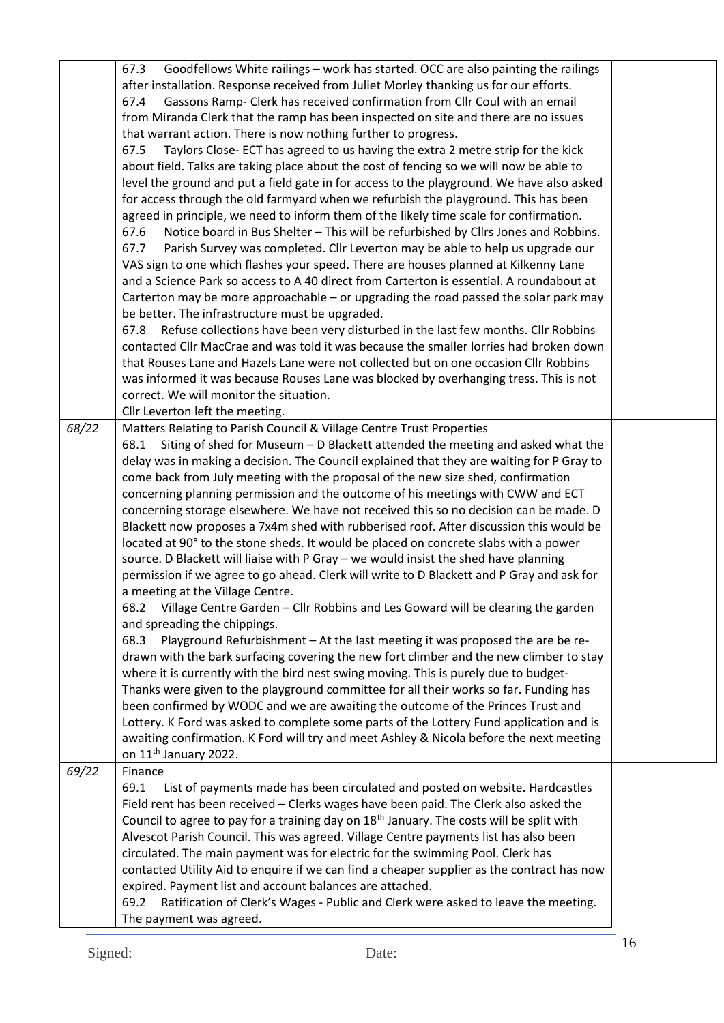|       | Goodfellows White railings - work has started. OCC are also painting the railings<br>67.3<br>after installation. Response received from Juliet Morley thanking us for our efforts.<br>Gassons Ramp- Clerk has received confirmation from Cllr Coul with an email<br>67.4<br>from Miranda Clerk that the ramp has been inspected on site and there are no issues<br>that warrant action. There is now nothing further to progress.<br>Taylors Close- ECT has agreed to us having the extra 2 metre strip for the kick<br>67.5<br>about field. Talks are taking place about the cost of fencing so we will now be able to<br>level the ground and put a field gate in for access to the playground. We have also asked<br>for access through the old farmyard when we refurbish the playground. This has been<br>agreed in principle, we need to inform them of the likely time scale for confirmation.<br>Notice board in Bus Shelter - This will be refurbished by Cllrs Jones and Robbins.<br>67.6<br>Parish Survey was completed. Cllr Leverton may be able to help us upgrade our<br>67.7<br>VAS sign to one which flashes your speed. There are houses planned at Kilkenny Lane<br>and a Science Park so access to A 40 direct from Carterton is essential. A roundabout at<br>Carterton may be more approachable - or upgrading the road passed the solar park may<br>be better. The infrastructure must be upgraded.<br>Refuse collections have been very disturbed in the last few months. Cllr Robbins<br>67.8<br>contacted Cllr MacCrae and was told it was because the smaller lorries had broken down<br>that Rouses Lane and Hazels Lane were not collected but on one occasion Cllr Robbins<br>was informed it was because Rouses Lane was blocked by overhanging tress. This is not<br>correct. We will monitor the situation.<br>Cllr Leverton left the meeting. |  |
|-------|---------------------------------------------------------------------------------------------------------------------------------------------------------------------------------------------------------------------------------------------------------------------------------------------------------------------------------------------------------------------------------------------------------------------------------------------------------------------------------------------------------------------------------------------------------------------------------------------------------------------------------------------------------------------------------------------------------------------------------------------------------------------------------------------------------------------------------------------------------------------------------------------------------------------------------------------------------------------------------------------------------------------------------------------------------------------------------------------------------------------------------------------------------------------------------------------------------------------------------------------------------------------------------------------------------------------------------------------------------------------------------------------------------------------------------------------------------------------------------------------------------------------------------------------------------------------------------------------------------------------------------------------------------------------------------------------------------------------------------------------------------------------------------------------------------------------------------------------------------------------------------|--|
| 68/22 | Matters Relating to Parish Council & Village Centre Trust Properties<br>Siting of shed for Museum - D Blackett attended the meeting and asked what the<br>68.1<br>delay was in making a decision. The Council explained that they are waiting for P Gray to<br>come back from July meeting with the proposal of the new size shed, confirmation<br>concerning planning permission and the outcome of his meetings with CWW and ECT<br>concerning storage elsewhere. We have not received this so no decision can be made. D<br>Blackett now proposes a 7x4m shed with rubberised roof. After discussion this would be<br>located at 90° to the stone sheds. It would be placed on concrete slabs with a power<br>source. D Blackett will liaise with P Gray - we would insist the shed have planning<br>permission if we agree to go ahead. Clerk will write to D Blackett and P Gray and ask for<br>a meeting at the Village Centre.<br>68.2 Village Centre Garden - Cllr Robbins and Les Goward will be clearing the garden<br>and spreading the chippings.<br>Playground Refurbishment - At the last meeting it was proposed the are be re-<br>68.3<br>drawn with the bark surfacing covering the new fort climber and the new climber to stay<br>where it is currently with the bird nest swing moving. This is purely due to budget-<br>Thanks were given to the playground committee for all their works so far. Funding has<br>been confirmed by WODC and we are awaiting the outcome of the Princes Trust and<br>Lottery. K Ford was asked to complete some parts of the Lottery Fund application and is<br>awaiting confirmation. K Ford will try and meet Ashley & Nicola before the next meeting<br>on 11 <sup>th</sup> January 2022.                                                                                                                                |  |
| 69/22 | Finance<br>List of payments made has been circulated and posted on website. Hardcastles<br>69.1<br>Field rent has been received - Clerks wages have been paid. The Clerk also asked the<br>Council to agree to pay for a training day on 18 <sup>th</sup> January. The costs will be split with<br>Alvescot Parish Council. This was agreed. Village Centre payments list has also been<br>circulated. The main payment was for electric for the swimming Pool. Clerk has<br>contacted Utility Aid to enquire if we can find a cheaper supplier as the contract has now<br>expired. Payment list and account balances are attached.<br>Ratification of Clerk's Wages - Public and Clerk were asked to leave the meeting.<br>69.2<br>The payment was agreed.                                                                                                                                                                                                                                                                                                                                                                                                                                                                                                                                                                                                                                                                                                                                                                                                                                                                                                                                                                                                                                                                                                                     |  |